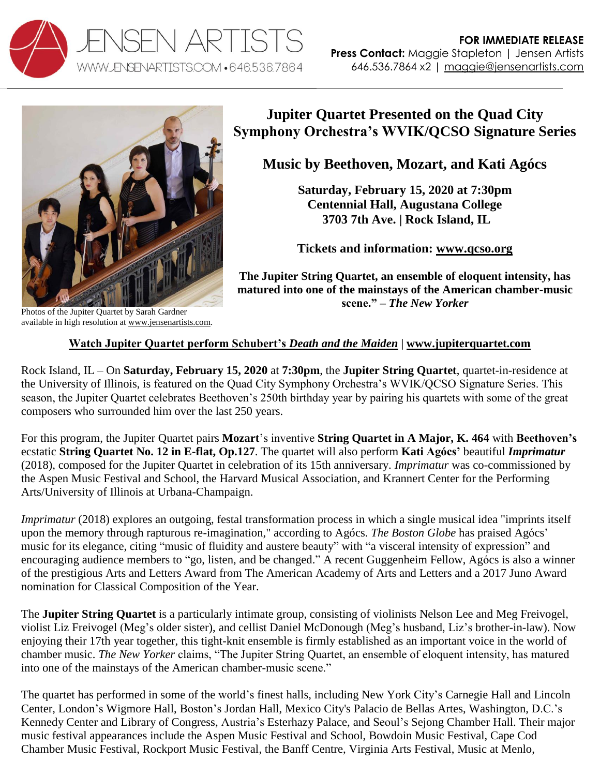



available in high resolution at [www.jensenartists.com.](http://www.jensenartists.com/jupiter-string-quartet)

**Jupiter Quartet Presented on the Quad City Symphony Orchestra's WVIK/QCSO Signature Series**

## **Music by Beethoven, Mozart, and Kati Agócs**

**Saturday, February 15, 2020 at 7:30pm Centennial Hall, Augustana College 3703 7th Ave. | Rock Island, IL**

**Tickets and information: [www.qcso.org](https://qcso.org/event/wvik-qcso-signature-series-iii-jupiter-quartet/)**

**The Jupiter String Quartet, an ensemble of eloquent intensity, has matured into one of the mainstays of the American chamber-music scene." –** *The New Yorker*

## **Watch Jupiter Quartet perform Schubert's** *Death and the Maiden* **| [www.jupiterquartet.com](http://www.jupiterquartet.com/)**

Rock Island, IL – On **Saturday, February 15, 2020** at **7:30pm**, the **Jupiter String Quartet**, quartet-in-residence at the University of Illinois, is featured on the Quad City Symphony Orchestra's WVIK/QCSO Signature Series. This season, the Jupiter Quartet celebrates Beethoven's 250th birthday year by pairing his quartets with some of the great composers who surrounded him over the last 250 years.

For this program, the Jupiter Quartet pairs **Mozart**'s inventive **String Quartet in A Major, K. 464** with **Beethoven's** ecstatic **String Quartet No. 12 in E-flat, Op.127**. The quartet will also perform **Kati Agócs'** beautiful *Imprimatur* (2018), composed for the Jupiter Quartet in celebration of its 15th anniversary. *Imprimatur* was co-commissioned by the Aspen Music Festival and School, the Harvard Musical Association, and Krannert Center for the Performing Arts/University of Illinois at Urbana-Champaign.

*Imprimatur* (2018) explores an outgoing, festal transformation process in which a single musical idea "imprints itself upon the memory through rapturous re-imagination," according to Agócs. *The Boston Globe* has praised Agócs' music for its elegance, citing "music of fluidity and austere beauty" with "a visceral intensity of expression" and encouraging audience members to "go, listen, and be changed." A recent Guggenheim Fellow, Agócs is also a winner of the prestigious Arts and Letters Award from The American Academy of Arts and Letters and a 2017 Juno Award nomination for Classical Composition of the Year.

The **Jupiter String Quartet** is a particularly intimate group, consisting of violinists Nelson Lee and Meg Freivogel, violist Liz Freivogel (Meg's older sister), and cellist Daniel McDonough (Meg's husband, Liz's brother-in-law). Now enjoying their 17th year together, this tight-knit ensemble is firmly established as an important voice in the world of chamber music. *The New Yorker* claims, "The Jupiter String Quartet, an ensemble of eloquent intensity, has matured into one of the mainstays of the American chamber-music scene."

The quartet has performed in some of the world's finest halls, including New York City's Carnegie Hall and Lincoln Center, London's Wigmore Hall, Boston's Jordan Hall, Mexico City's Palacio de Bellas Artes, Washington, D.C.'s Kennedy Center and Library of Congress, Austria's Esterhazy Palace, and Seoul's Sejong Chamber Hall. Their major music festival appearances include the Aspen Music Festival and School, Bowdoin Music Festival, Cape Cod Chamber Music Festival, Rockport Music Festival, the Banff Centre, Virginia Arts Festival, Music at Menlo,